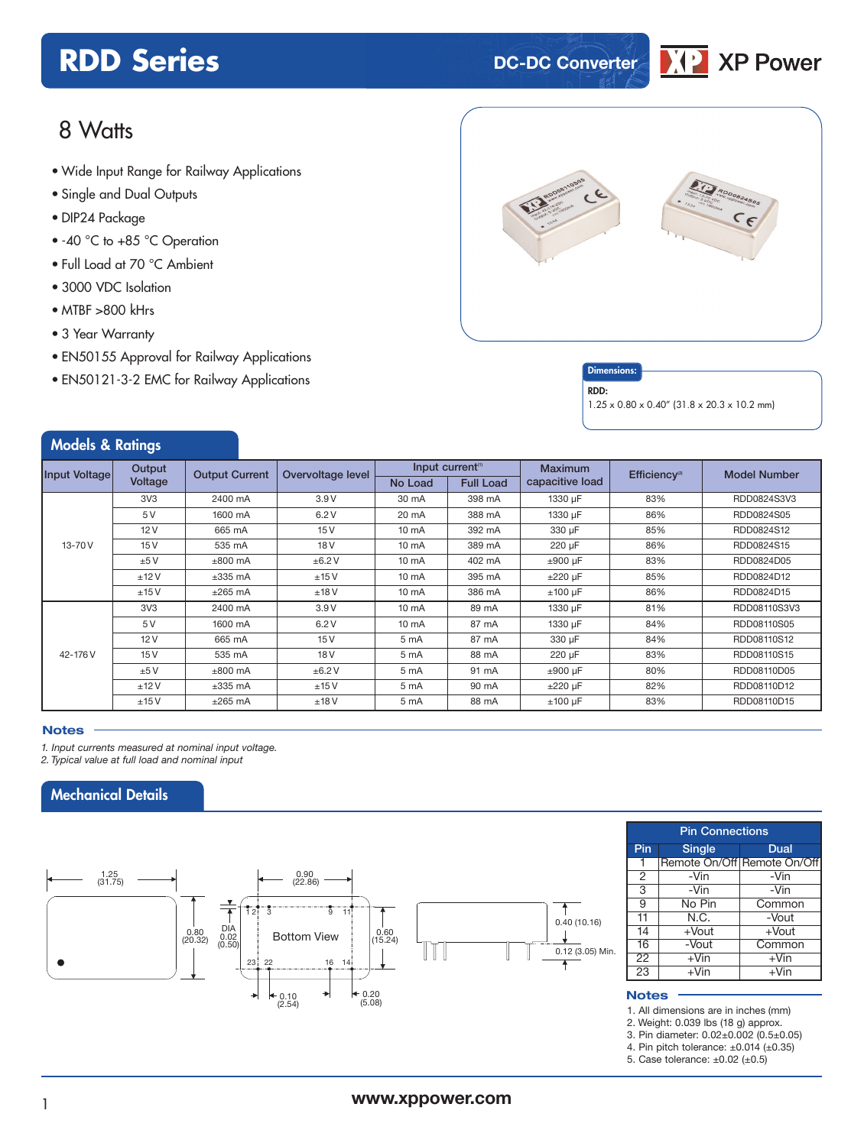# **RDD Series DC-DC** Converter



## 8 Watts

- Wide Input Range for Railway Applications
- Single and Dual Outputs
- DIP24 Package
- -40 °C to +85 °C Operation
- Full Load at 70 °C Ambient
- 3000 VDC Isolation
- MTBF >800 kHrs
- 3 Year Warranty
- EN50155 Approval for Railway Applications
- EN50121-3-2 EMC for Railway Applications **Dimensions**



### RDD:

1.25 x 0.80 x 0.40" (31.8 x 20.3 x 10.2 mm)

| <b>Models &amp; Ratings</b> |                 |                       |                   |                              |                  |                 |                           |                     |
|-----------------------------|-----------------|-----------------------|-------------------|------------------------------|------------------|-----------------|---------------------------|---------------------|
| Input Voltage               | Output          | <b>Output Current</b> | Overvoltage level | Input current <sup>(1)</sup> |                  | <b>Maximum</b>  | Efficiency <sup>(2)</sup> | <b>Model Number</b> |
|                             | Voltage         |                       |                   | No Load                      | <b>Full Load</b> | capacitive load |                           |                     |
|                             | 3V <sub>3</sub> | 2400 mA               | 3.9V              | 30 mA                        | 398 mA           | 1330 µF         | 83%                       | RDD0824S3V3         |
|                             | 5V              | 1600 mA               | 6.2V              | 20 mA                        | 388 mA           | 1330 µF         | 86%                       | RDD0824S05          |
|                             | 12V             | 665 mA                | 15V               | $10 \text{ mA}$              | 392 mA           | 330 µF          | 85%                       | RDD0824S12          |
| 13-70 V                     | 15V             | 535 mA                | 18 <sub>V</sub>   | $10 \text{ mA}$              | 389 mA           | 220 µF          | 86%                       | RDD0824S15          |
|                             | ±5V             | $\pm 800$ mA          | ±6.2V             | $10 \text{ mA}$              | 402 mA           | $±900$ µF       | 83%                       | RDD0824D05          |
|                             | ±12V            | $±335$ mA             | ±15V              | $10 \text{ mA}$              | 395 mA           | $±220 \mu F$    | 85%                       | RDD0824D12          |
|                             | ±15V            | $±265$ mA             | ±18V              | $10 \text{ mA}$              | 386 mA           | $±100 \mu F$    | 86%                       | RDD0824D15          |
|                             | 3V <sub>3</sub> | 2400 mA               | 3.9V              | $10 \text{ mA}$              | 89 mA            | 1330 µF         | 81%                       | RDD08110S3V3        |
|                             | 5V              | 1600 mA               | 6.2V              | $10 \text{ mA}$              | 87 mA            | 1330 µF         | 84%                       | RDD08110S05         |
|                             | 12V             | 665 mA                | 15V               | 5 mA                         | 87 mA            | 330 µF          | 84%                       | RDD08110S12         |
| 42-176 V                    | 15V             | 535 mA                | 18 <sub>V</sub>   | 5 mA                         | 88 mA            | 220 µF          | 83%                       | RDD08110S15         |
|                             | ±5V             | $\pm 800$ mA          | ±6.2V             | 5 mA                         | 91 mA            | $±900 \mu F$    | 80%                       | RDD08110D05         |
|                             | ±12V            | $±335$ mA             | ±15V              | 5 mA                         | 90 mA            | $±220 \mu F$    | 82%                       | RDD08110D12         |
|                             | ±15V            | $±265$ mA             | ±18V              | 5 mA                         | 88 mA            | $±100 \mu F$    | 83%                       | RDD08110D15         |

### **Notes**

*1. Input currents measured at nominal input voltage.*

í

í

*2. Typical value at full load and nominal input*

## Mechanical Details



| <b>Pin Connections</b> |               |                             |  |  |
|------------------------|---------------|-----------------------------|--|--|
| Pin                    | <b>Single</b> | Dual                        |  |  |
| 1                      |               | Remote On/Off Remote On/Off |  |  |
| $\overline{2}$         | -Vin          | -Vin                        |  |  |
| 3                      | $-Vin$        | $-Vin$                      |  |  |
| 9                      | No Pin        | Common                      |  |  |
| $\overline{11}$        | N.C.          | -Vout                       |  |  |
| 14                     | $+$ Vout      | $+$ Vout                    |  |  |
| $\overline{16}$        | -Vout         | Common                      |  |  |
| $\overline{22}$        | $+V$ in       | $+\sqrt{in}$                |  |  |
| $\overline{23}$        | $+V$ in       | $+V$ in                     |  |  |

### **Notes**

1. All dimensions are in inches (mm)

2. Weight: 0.039 lbs (18 g) approx.

3. Pin diameter: 0.02±0.002 (0.5±0.05)

4. Pin pitch tolerance:  $\pm 0.014$  ( $\pm 0.35$ )

5. Case tolerance: ±0.02 (±0.5)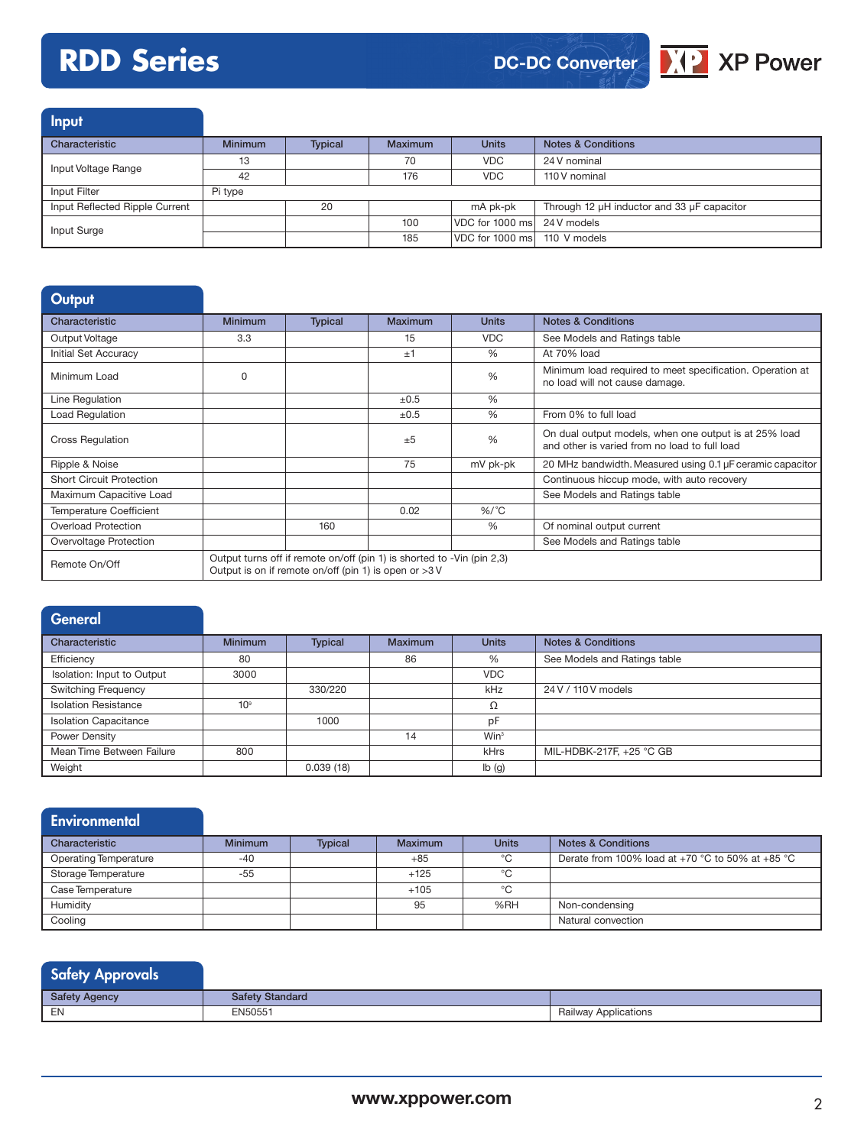# **RDD Series**

**DC-DC Converter**



Input Characteristic **Minimum** Typical Maximum Units Notes & Conditions Input Voltage Range **13** 13 176 VDC 24 V nominal<br>
176 VDC 110 V nominal 110 V nominal Input Filter Pi type Input Reflected Ripple Current 20 mA pk-pk Through 12 µH inductor and 33 µF capacitor Input Surge 100 VDC for 1000 ms 24 V models<br>
100 VDC for 1000 ms 24 V models 185 VDC for 1000 ms 110 V models

| <b>Output</b>                   |                |                                                         |                                                                        |               |                                                                                                        |
|---------------------------------|----------------|---------------------------------------------------------|------------------------------------------------------------------------|---------------|--------------------------------------------------------------------------------------------------------|
| Characteristic                  | <b>Minimum</b> | <b>Typical</b>                                          | <b>Maximum</b>                                                         | <b>Units</b>  | <b>Notes &amp; Conditions</b>                                                                          |
| Output Voltage                  | 3.3            |                                                         | 15                                                                     | <b>VDC</b>    | See Models and Ratings table                                                                           |
| <b>Initial Set Accuracy</b>     |                |                                                         | ±1                                                                     | $\frac{9}{6}$ | At 70% load                                                                                            |
| Minimum Load                    | $\Omega$       |                                                         |                                                                        | %             | Minimum load required to meet specification. Operation at<br>no load will not cause damage.            |
| Line Regulation                 |                |                                                         | $\pm 0.5$                                                              | $\frac{0}{0}$ |                                                                                                        |
| <b>Load Regulation</b>          |                |                                                         | $\pm 0.5$                                                              | $\frac{0}{0}$ | From 0% to full load                                                                                   |
| <b>Cross Regulation</b>         |                |                                                         | ±5                                                                     | %             | On dual output models, when one output is at 25% load<br>and other is varied from no load to full load |
| Ripple & Noise                  |                |                                                         | 75                                                                     | mV pk-pk      | 20 MHz bandwidth. Measured using 0.1 µF ceramic capacitor                                              |
| <b>Short Circuit Protection</b> |                |                                                         |                                                                        |               | Continuous hiccup mode, with auto recovery                                                             |
| Maximum Capacitive Load         |                |                                                         |                                                                        |               | See Models and Ratings table                                                                           |
| <b>Temperature Coefficient</b>  |                |                                                         | 0.02                                                                   | $%$ /°C       |                                                                                                        |
| <b>Overload Protection</b>      |                | 160                                                     |                                                                        | %             | Of nominal output current                                                                              |
| Overvoltage Protection          |                |                                                         |                                                                        |               | See Models and Ratings table                                                                           |
| Remote On/Off                   |                | Output is on if remote on/off (pin 1) is open or $>3$ V | Output turns off if remote on/off (pin 1) is shorted to -Vin (pin 2,3) |               |                                                                                                        |

| <b>General</b>               |                 |                |         |                  |                               |
|------------------------------|-----------------|----------------|---------|------------------|-------------------------------|
| Characteristic               | <b>Minimum</b>  | <b>Typical</b> | Maximum | <b>Units</b>     | <b>Notes &amp; Conditions</b> |
| Efficiency                   | 80              |                | 86      | %                | See Models and Ratings table  |
| Isolation: Input to Output   | 3000            |                |         | <b>VDC</b>       |                               |
| <b>Switching Frequency</b>   |                 | 330/220        |         | kHz              | 24 V / 110 V models           |
| <b>Isolation Resistance</b>  | 10 <sup>9</sup> |                |         | Ω                |                               |
| <b>Isolation Capacitance</b> |                 | 1000           |         | pF               |                               |
| Power Density                |                 |                | 14      | Win <sup>3</sup> |                               |
| Mean Time Between Failure    | 800             |                |         | kHrs             | MIL-HDBK-217F, +25 °C GB      |
| Weight                       |                 | 0.039(18)      |         | Ib(g)            |                               |

| <b>Environmental</b>         |                |                |                |              |                                                  |
|------------------------------|----------------|----------------|----------------|--------------|--------------------------------------------------|
| Characteristic               | <b>Minimum</b> | <b>Typical</b> | <b>Maximum</b> | <b>Units</b> | <b>Notes &amp; Conditions</b>                    |
| <b>Operating Temperature</b> | $-40$          |                | $+85$          | °C           | Derate from 100% load at +70 °C to 50% at +85 °C |
| Storage Temperature          | -55            |                | $+125$         | °C           |                                                  |
| Case Temperature             |                |                | $+105$         | $^{\circ}$ C |                                                  |
| Humidity                     |                |                | 95             | %RH          | Non-condensing                                   |
| Cooling                      |                |                |                |              | Natural convection                               |

| Safety Approvals     |                        |                      |
|----------------------|------------------------|----------------------|
| <b>Safety Agency</b> | <b>Safety Standard</b> |                      |
| EN                   | EN50551                | Railway Applications |